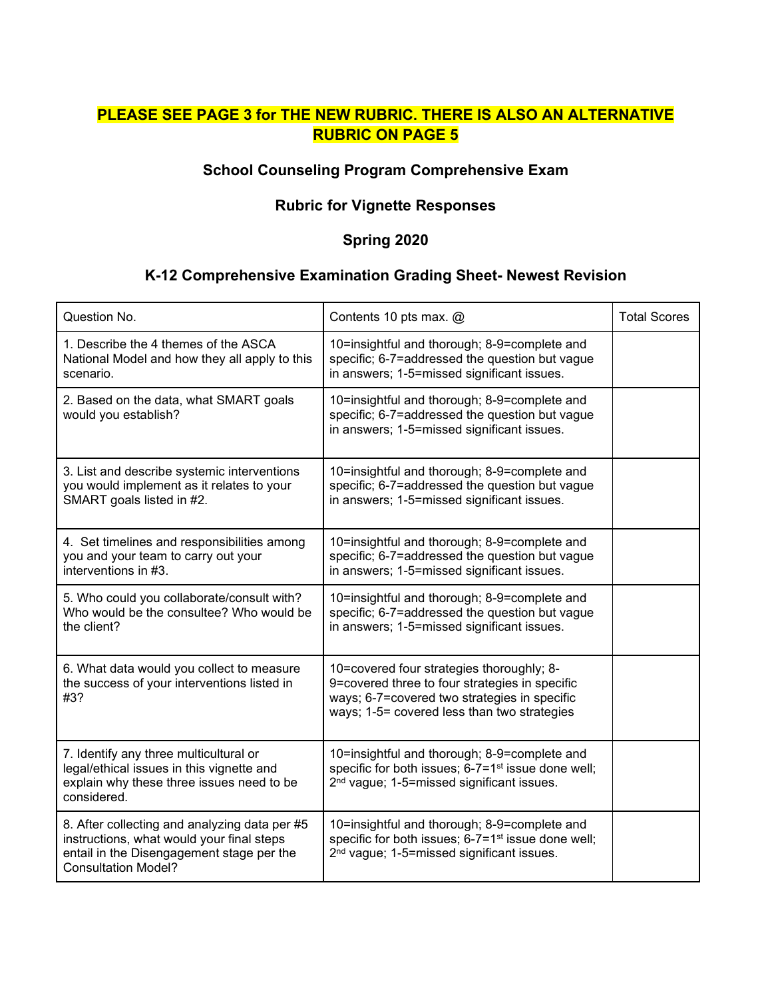### **PLEASE SEE PAGE 3 for THE NEW RUBRIC. THERE IS ALSO AN ALTERNATIVE RUBRIC ON PAGE 5**

#### **School Counseling Program Comprehensive Exam**

#### **Rubric for Vignette Responses**

#### **Spring 2020**

#### **K-12 Comprehensive Examination Grading Sheet- Newest Revision**

| Question No.                                                                                                                                                          | Contents 10 pts max. @                                                                                                                                                                     | <b>Total Scores</b> |
|-----------------------------------------------------------------------------------------------------------------------------------------------------------------------|--------------------------------------------------------------------------------------------------------------------------------------------------------------------------------------------|---------------------|
| 1. Describe the 4 themes of the ASCA<br>National Model and how they all apply to this<br>scenario.                                                                    | 10=insightful and thorough; 8-9=complete and<br>specific; 6-7=addressed the question but vague<br>in answers; 1-5=missed significant issues.                                               |                     |
| 2. Based on the data, what SMART goals<br>would you establish?                                                                                                        | 10=insightful and thorough; 8-9=complete and<br>specific; 6-7=addressed the question but vague<br>in answers; 1-5=missed significant issues.                                               |                     |
| 3. List and describe systemic interventions<br>you would implement as it relates to your<br>SMART goals listed in #2.                                                 | 10=insightful and thorough; 8-9=complete and<br>specific; 6-7=addressed the question but vague<br>in answers; 1-5=missed significant issues.                                               |                     |
| 4. Set timelines and responsibilities among<br>you and your team to carry out your<br>interventions in #3.                                                            | 10=insightful and thorough; 8-9=complete and<br>specific; 6-7=addressed the question but vague<br>in answers; 1-5=missed significant issues.                                               |                     |
| 5. Who could you collaborate/consult with?<br>Who would be the consultee? Who would be<br>the client?                                                                 | 10=insightful and thorough; 8-9=complete and<br>specific; 6-7=addressed the question but vague<br>in answers; 1-5=missed significant issues.                                               |                     |
| 6. What data would you collect to measure<br>the success of your interventions listed in<br>#3?                                                                       | 10=covered four strategies thoroughly; 8-<br>9=covered three to four strategies in specific<br>ways; 6-7=covered two strategies in specific<br>ways; 1-5= covered less than two strategies |                     |
| 7. Identify any three multicultural or<br>legal/ethical issues in this vignette and<br>explain why these three issues need to be<br>considered.                       | 10=insightful and thorough; 8-9=complete and<br>specific for both issues; 6-7=1 <sup>st</sup> issue done well;<br>2 <sup>nd</sup> vague; 1-5=missed significant issues.                    |                     |
| 8. After collecting and analyzing data per #5<br>instructions, what would your final steps<br>entail in the Disengagement stage per the<br><b>Consultation Model?</b> | 10=insightful and thorough; 8-9=complete and<br>specific for both issues; 6-7=1 <sup>st</sup> issue done well;<br>2 <sup>nd</sup> vague; 1-5=missed significant issues.                    |                     |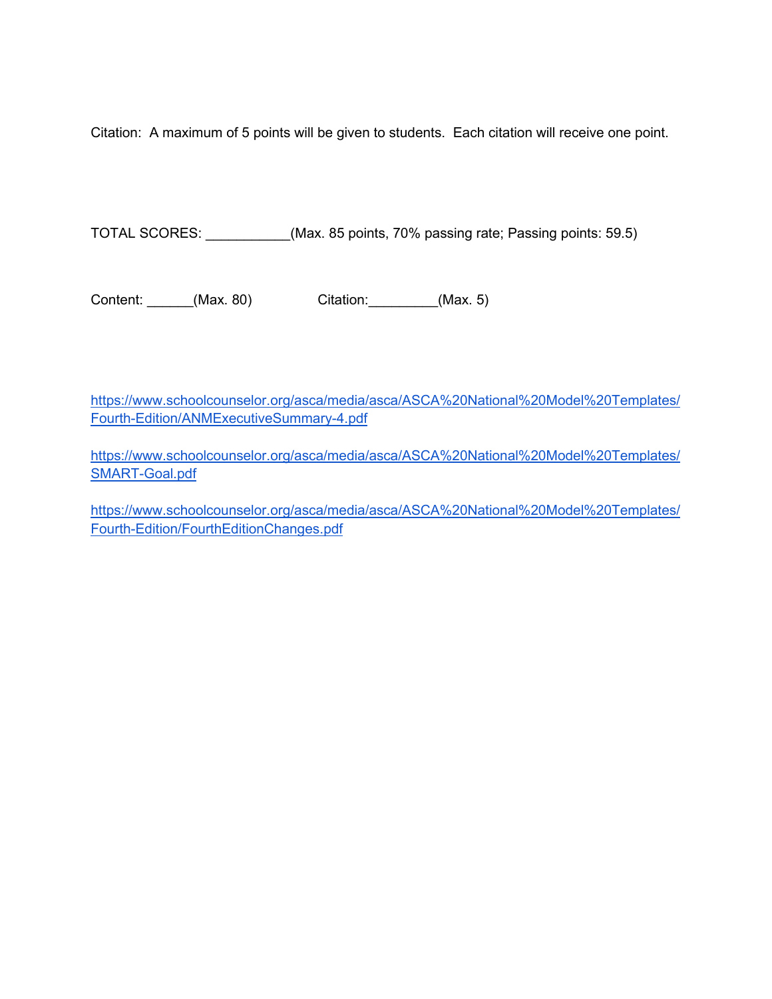Citation: A maximum of 5 points will be given to students. Each citation will receive one point.

TOTAL SCORES: \_\_\_\_\_\_\_\_\_\_\_(Max. 85 points, 70% passing rate; Passing points: 59.5)

Content: \_\_\_\_\_\_(Max. 80) Citation:\_\_\_\_\_\_\_\_\_(Max. 5)

[https://www.schoolcounselor.org/asca/media/asca/ASCA%20National%20Model%20Templates/](https://www.schoolcounselor.org/asca/media/asca/ASCA%20National%20Model%20Templates/Fourth-Edition/ANMExecutiveSummary-4.pdf) [Fourth-Edition/ANMExecutiveSummary-4.pdf](https://www.schoolcounselor.org/asca/media/asca/ASCA%20National%20Model%20Templates/Fourth-Edition/ANMExecutiveSummary-4.pdf)

[https://www.schoolcounselor.org/asca/media/asca/ASCA%20National%20Model%20Templates/](https://www.schoolcounselor.org/asca/media/asca/ASCA%20National%20Model%20Templates/SMART-Goal.pdf) [SMART-Goal.pdf](https://www.schoolcounselor.org/asca/media/asca/ASCA%20National%20Model%20Templates/SMART-Goal.pdf)

[https://www.schoolcounselor.org/asca/media/asca/ASCA%20National%20Model%20Templates/](https://www.schoolcounselor.org/asca/media/asca/ASCA%20National%20Model%20Templates/Fourth-Edition/FourthEditionChanges.pdf) [Fourth-Edition/FourthEditionChanges.pdf](https://www.schoolcounselor.org/asca/media/asca/ASCA%20National%20Model%20Templates/Fourth-Edition/FourthEditionChanges.pdf)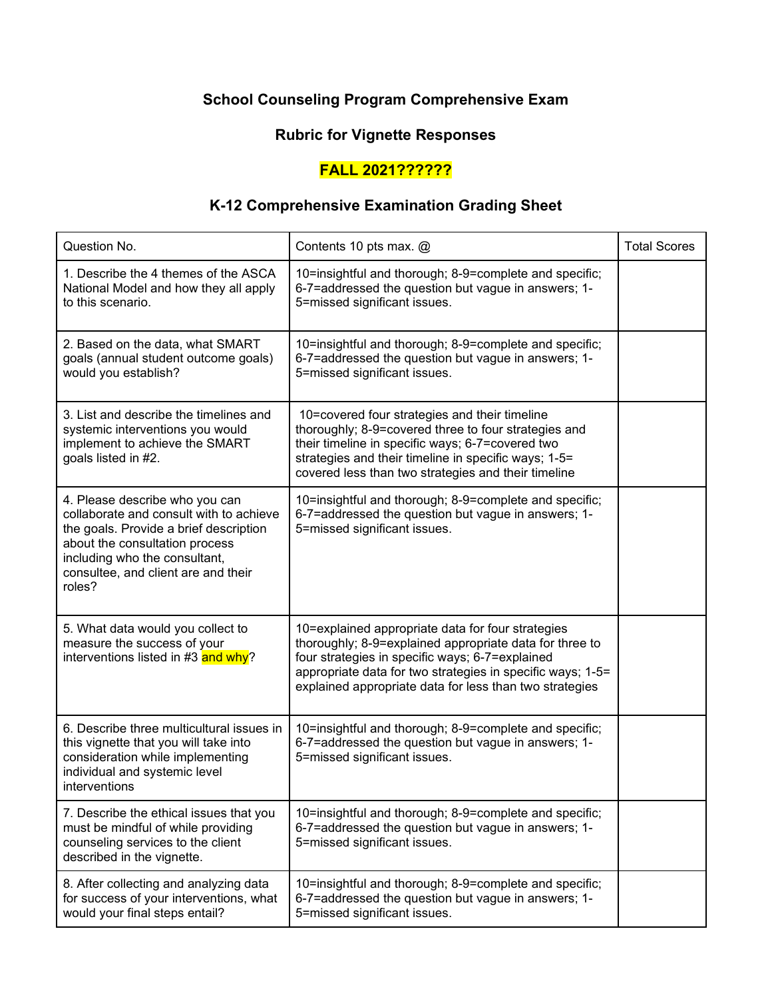# **School Counseling Program Comprehensive Exam**

# **Rubric for Vignette Responses**

### **FALL 2021??????**

# **K-12 Comprehensive Examination Grading Sheet**

| Question No.                                                                                                                                                                                                                            | Contents 10 pts max. @                                                                                                                                                                                                                                                                   | <b>Total Scores</b> |
|-----------------------------------------------------------------------------------------------------------------------------------------------------------------------------------------------------------------------------------------|------------------------------------------------------------------------------------------------------------------------------------------------------------------------------------------------------------------------------------------------------------------------------------------|---------------------|
| 1. Describe the 4 themes of the ASCA<br>National Model and how they all apply<br>to this scenario.                                                                                                                                      | 10=insightful and thorough; 8-9=complete and specific;<br>6-7=addressed the question but vague in answers; 1-<br>5=missed significant issues.                                                                                                                                            |                     |
| 2. Based on the data, what SMART<br>goals (annual student outcome goals)<br>would you establish?                                                                                                                                        | 10=insightful and thorough; 8-9=complete and specific;<br>6-7=addressed the question but vague in answers; 1-<br>5=missed significant issues.                                                                                                                                            |                     |
| 3. List and describe the timelines and<br>systemic interventions you would<br>implement to achieve the SMART<br>goals listed in #2.                                                                                                     | 10=covered four strategies and their timeline<br>thoroughly; 8-9=covered three to four strategies and<br>their timeline in specific ways; 6-7=covered two<br>strategies and their timeline in specific ways; 1-5=<br>covered less than two strategies and their timeline                 |                     |
| 4. Please describe who you can<br>collaborate and consult with to achieve<br>the goals. Provide a brief description<br>about the consultation process<br>including who the consultant,<br>consultee, and client are and their<br>roles? | 10=insightful and thorough; 8-9=complete and specific;<br>6-7=addressed the question but vague in answers; 1-<br>5=missed significant issues.                                                                                                                                            |                     |
| 5. What data would you collect to<br>measure the success of your<br>interventions listed in #3 and why?                                                                                                                                 | 10=explained appropriate data for four strategies<br>thoroughly; 8-9=explained appropriate data for three to<br>four strategies in specific ways; 6-7=explained<br>appropriate data for two strategies in specific ways; 1-5=<br>explained appropriate data for less than two strategies |                     |
| 6. Describe three multicultural issues in<br>this vignette that you will take into<br>consideration while implementing<br>individual and systemic level<br>interventions                                                                | 10=insightful and thorough; 8-9=complete and specific;<br>6-7=addressed the question but vague in answers; 1-<br>5=missed significant issues.                                                                                                                                            |                     |
| 7. Describe the ethical issues that you<br>must be mindful of while providing<br>counseling services to the client<br>described in the vignette.                                                                                        | 10=insightful and thorough; 8-9=complete and specific;<br>6-7=addressed the question but vague in answers; 1-<br>5=missed significant issues.                                                                                                                                            |                     |
| 8. After collecting and analyzing data<br>for success of your interventions, what<br>would your final steps entail?                                                                                                                     | 10=insightful and thorough; 8-9=complete and specific;<br>6-7=addressed the question but vague in answers; 1-<br>5=missed significant issues.                                                                                                                                            |                     |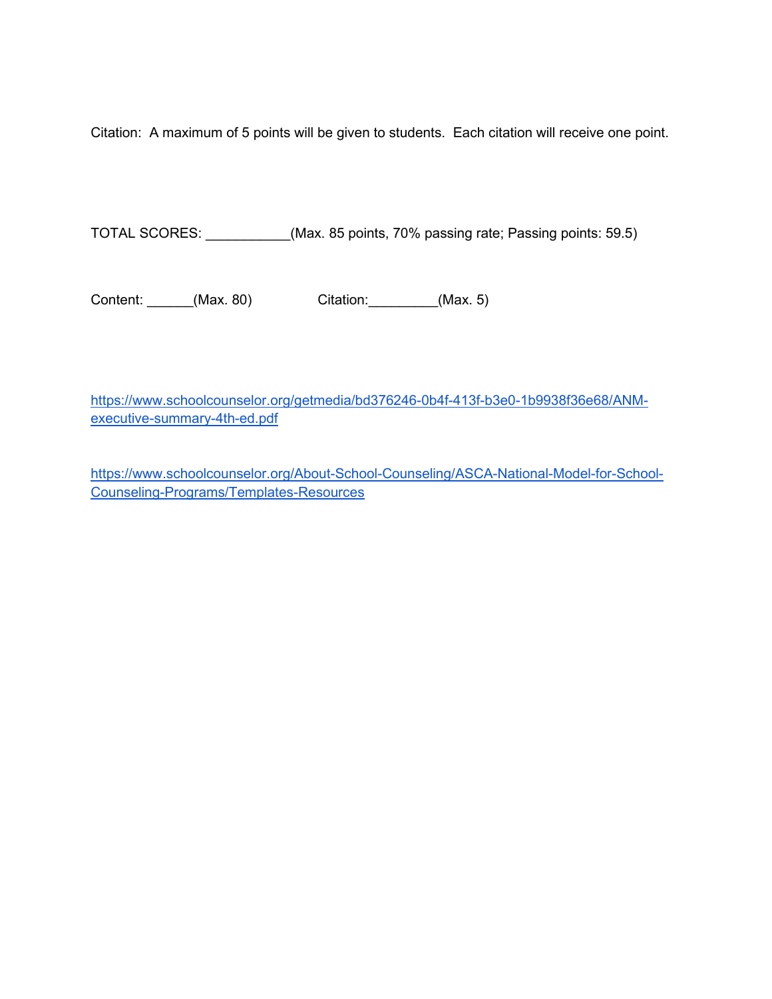Citation: A maximum of 5 points will be given to students. Each citation will receive one point.

TOTAL SCORES: \_\_\_\_\_\_\_\_\_\_\_(Max. 85 points, 70% passing rate; Passing points: 59.5)

Content: \_\_\_\_\_\_(Max. 80) Citation:\_\_\_\_\_\_\_\_\_(Max. 5)

[https://www.schoolcounselor.org/getmedia/bd376246-0b4f-413f-b3e0-1b9938f36e68/ANM](https://www.schoolcounselor.org/getmedia/bd376246-0b4f-413f-b3e0-1b9938f36e68/ANM-executive-summary-4th-ed.pdf)[executive-summary-4th-ed.pdf](https://www.schoolcounselor.org/getmedia/bd376246-0b4f-413f-b3e0-1b9938f36e68/ANM-executive-summary-4th-ed.pdf)

[https://www.schoolcounselor.org/About-School-Counseling/ASCA-National-Model-for-School-](https://www.schoolcounselor.org/About-School-Counseling/ASCA-National-Model-for-School-Counseling-Programs/Templates-Resources)[Counseling-Programs/Templates-Resources](https://www.schoolcounselor.org/About-School-Counseling/ASCA-National-Model-for-School-Counseling-Programs/Templates-Resources)